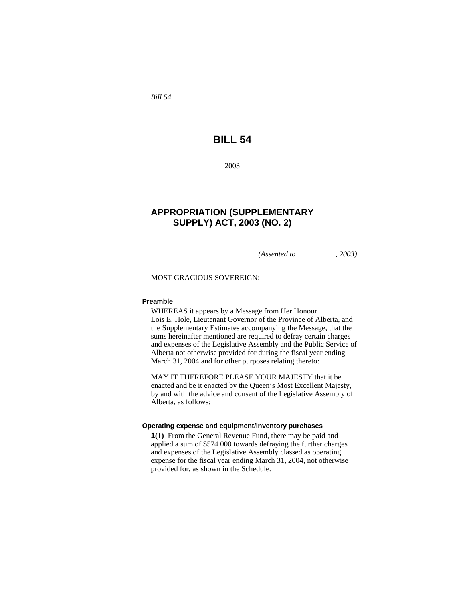*Bill 54* 

# **BILL 54**

2003

## **APPROPRIATION (SUPPLEMENTARY SUPPLY) ACT, 2003 (NO. 2)**

*(Assented to , 2003)* 

MOST GRACIOUS SOVEREIGN:

#### **Preamble**

WHEREAS it appears by a Message from Her Honour Lois E. Hole, Lieutenant Governor of the Province of Alberta, and the Supplementary Estimates accompanying the Message, that the sums hereinafter mentioned are required to defray certain charges and expenses of the Legislative Assembly and the Public Service of Alberta not otherwise provided for during the fiscal year ending March 31, 2004 and for other purposes relating thereto:

MAY IT THEREFORE PLEASE YOUR MAJESTY that it be enacted and be it enacted by the Queen's Most Excellent Majesty, by and with the advice and consent of the Legislative Assembly of Alberta, as follows:

#### **Operating expense and equipment/inventory purchases**

**1(1)** From the General Revenue Fund, there may be paid and applied a sum of \$574 000 towards defraying the further charges and expenses of the Legislative Assembly classed as operating expense for the fiscal year ending March 31, 2004, not otherwise provided for, as shown in the Schedule.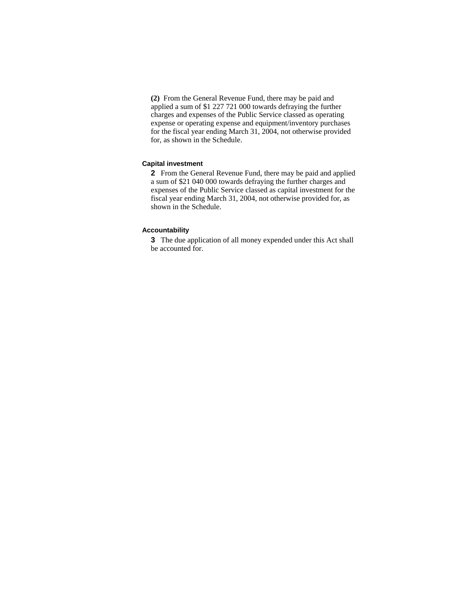**(2)** From the General Revenue Fund, there may be paid and applied a sum of \$1 227 721 000 towards defraying the further charges and expenses of the Public Service classed as operating expense or operating expense and equipment/inventory purchases for the fiscal year ending March 31, 2004, not otherwise provided for, as shown in the Schedule.

#### **Capital investment**

**2** From the General Revenue Fund, there may be paid and applied a sum of \$21 040 000 towards defraying the further charges and expenses of the Public Service classed as capital investment for the fiscal year ending March 31, 2004, not otherwise provided for, as shown in the Schedule.

#### **Accountability**

**3** The due application of all money expended under this Act shall be accounted for.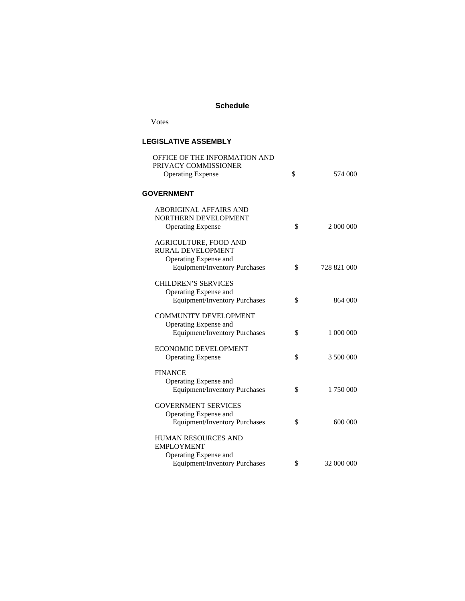#### **Schedule**

## Votes

### **LEGISLATIVE ASSEMBLY**

| OFFICE OF THE INFORMATION AND                    |                   |
|--------------------------------------------------|-------------------|
| PRIVACY COMMISSIONER<br><b>Operating Expense</b> | \$<br>574 000     |
|                                                  |                   |
| <b>GOVERNMENT</b>                                |                   |
| <b>ABORIGINAL AFFAIRS AND</b>                    |                   |
| NORTHERN DEVELOPMENT                             |                   |
| <b>Operating Expense</b>                         | \$<br>2 000 000   |
| <b>AGRICULTURE, FOOD AND</b>                     |                   |
| RURAL DEVELOPMENT                                |                   |
| Operating Expense and                            |                   |
| <b>Equipment/Inventory Purchases</b>             | \$<br>728 821 000 |
| <b>CHILDREN'S SERVICES</b>                       |                   |
| Operating Expense and                            |                   |
| <b>Equipment/Inventory Purchases</b>             | \$<br>864 000     |
| <b>COMMUNITY DEVELOPMENT</b>                     |                   |
| Operating Expense and                            |                   |
| <b>Equipment/Inventory Purchases</b>             | \$<br>1 000 000   |
| <b>ECONOMIC DEVELOPMENT</b>                      |                   |
| <b>Operating Expense</b>                         | \$<br>3 500 000   |
| <b>FINANCE</b>                                   |                   |
| Operating Expense and                            |                   |
| <b>Equipment/Inventory Purchases</b>             | \$<br>1 750 000   |
| <b>GOVERNMENT SERVICES</b>                       |                   |
| Operating Expense and                            |                   |
| <b>Equipment/Inventory Purchases</b>             | \$<br>600 000     |
| HUMAN RESOURCES AND                              |                   |
| <b>EMPLOYMENT</b>                                |                   |
| Operating Expense and                            |                   |
| <b>Equipment/Inventory Purchases</b>             | \$<br>32 000 000  |